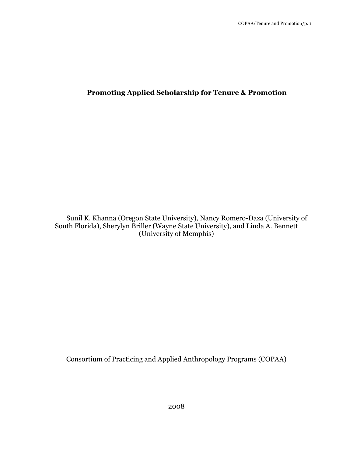# **Promoting Applied Scholarship for Tenure & Promotion**

Sunil K. Khanna (Oregon State University), Nancy Romero-Daza (University of South Florida), Sherylyn Briller (Wayne State University), and Linda A. Bennett (University of Memphis)

Consortium of Practicing and Applied Anthropology Programs (COPAA)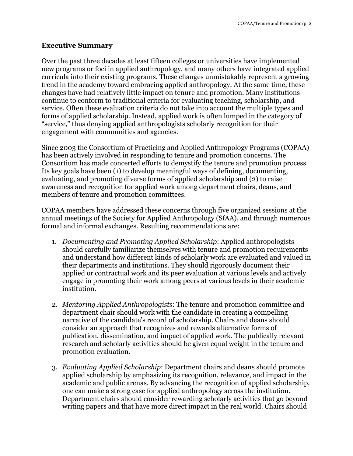## **Executive Summary**

Over the past three decades at least fifteen colleges or universities have implemented new programs or foci in applied anthropology, and many others have integrated applied curricula into their existing programs. These changes unmistakably represent a growing trend in the academy toward embracing applied anthropology. At the same time, these changes have had relatively little impact on tenure and promotion. Many institutions continue to conform to traditional criteria for evaluating teaching, scholarship, and service. Often these evaluation criteria do not take into account the multiple types and forms of applied scholarship. Instead, applied work is often lumped in the category of "service," thus denying applied anthropologists scholarly recognition for their engagement with communities and agencies.

Since 2003 the Consortium of Practicing and Applied Anthropology Programs (COPAA) has been actively involved in responding to tenure and promotion concerns. The Consortium has made concerted efforts to demystify the tenure and promotion process. Its key goals have been (1) to develop meaningful ways of defining, documenting, evaluating, and promoting diverse forms of applied scholarship and (2) to raise awareness and recognition for applied work among department chairs, deans, and members of tenure and promotion committees.

COPAA members have addressed these concerns through five organized sessions at the annual meetings of the Society for Applied Anthropology (SfAA), and through numerous formal and informal exchanges. Resulting recommendations are:

- 1. *Documenting and Promoting Applied Scholarship*: Applied anthropologists should carefully familiarize themselves with tenure and promotion requirements and understand how different kinds of scholarly work are evaluated and valued in their departments and institutions. They should rigorously document their applied or contractual work and its peer evaluation at various levels and actively engage in promoting their work among peers at various levels in their academic institution.
- 2. *Mentoring Applied Anthropologists*: The tenure and promotion committee and department chair should work with the candidate in creating a compelling narrative of the candidate's record of scholarship. Chairs and deans should consider an approach that recognizes and rewards alternative forms of publication, dissemination, and impact of applied work. The publically relevant research and scholarly activities should be given equal weight in the tenure and promotion evaluation.
- 3. *Evaluating Applied Scholarship*: Department chairs and deans should promote applied scholarship by emphasizing its recognition, relevance, and impact in the academic and public arenas. By advancing the recognition of applied scholarship, one can make a strong case for applied anthropology across the institution. Department chairs should consider rewarding scholarly activities that go beyond writing papers and that have more direct impact in the real world. Chairs should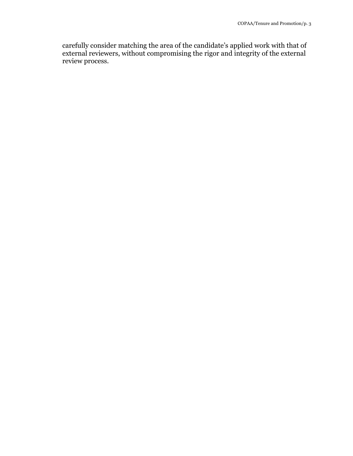carefully consider matching the area of the candidate's applied work with that of external reviewers, without compromising the rigor and integrity of the external review process.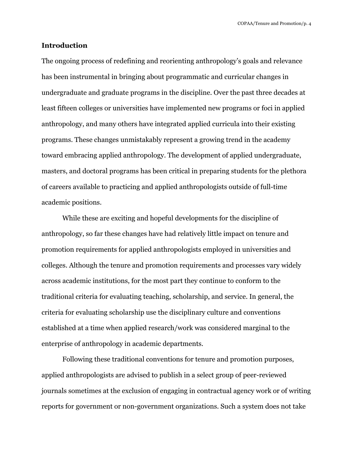#### **Introduction**

The ongoing process of redefining and reorienting anthropology's goals and relevance has been instrumental in bringing about programmatic and curricular changes in undergraduate and graduate programs in the discipline. Over the past three decades at least fifteen colleges or universities have implemented new programs or foci in applied anthropology, and many others have integrated applied curricula into their existing programs. These changes unmistakably represent a growing trend in the academy toward embracing applied anthropology. The development of applied undergraduate, masters, and doctoral programs has been critical in preparing students for the plethora of careers available to practicing and applied anthropologists outside of full-time academic positions.

While these are exciting and hopeful developments for the discipline of anthropology, so far these changes have had relatively little impact on tenure and promotion requirements for applied anthropologists employed in universities and colleges. Although the tenure and promotion requirements and processes vary widely across academic institutions, for the most part they continue to conform to the traditional criteria for evaluating teaching, scholarship, and service. In general, the criteria for evaluating scholarship use the disciplinary culture and conventions established at a time when applied research/work was considered marginal to the enterprise of anthropology in academic departments.

Following these traditional conventions for tenure and promotion purposes, applied anthropologists are advised to publish in a select group of peer-reviewed journals sometimes at the exclusion of engaging in contractual agency work or of writing reports for government or non-government organizations. Such a system does not take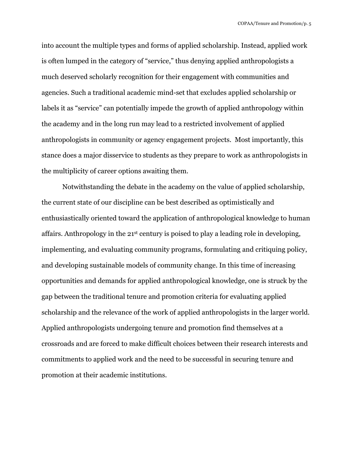into account the multiple types and forms of applied scholarship. Instead, applied work is often lumped in the category of "service," thus denying applied anthropologists a much deserved scholarly recognition for their engagement with communities and agencies. Such a traditional academic mind-set that excludes applied scholarship or labels it as "service" can potentially impede the growth of applied anthropology within the academy and in the long run may lead to a restricted involvement of applied anthropologists in community or agency engagement projects. Most importantly, this stance does a major disservice to students as they prepare to work as anthropologists in the multiplicity of career options awaiting them.

Notwithstanding the debate in the academy on the value of applied scholarship, the current state of our discipline can be best described as optimistically and enthusiastically oriented toward the application of anthropological knowledge to human affairs. Anthropology in the 21st century is poised to play a leading role in developing, implementing, and evaluating community programs, formulating and critiquing policy, and developing sustainable models of community change. In this time of increasing opportunities and demands for applied anthropological knowledge, one is struck by the gap between the traditional tenure and promotion criteria for evaluating applied scholarship and the relevance of the work of applied anthropologists in the larger world. Applied anthropologists undergoing tenure and promotion find themselves at a crossroads and are forced to make difficult choices between their research interests and commitments to applied work and the need to be successful in securing tenure and promotion at their academic institutions.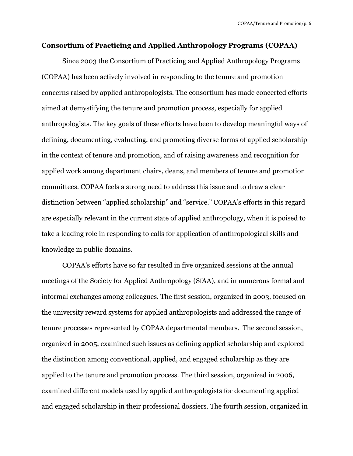### **Consortium of Practicing and Applied Anthropology Programs (COPAA)**

Since 2003 the Consortium of Practicing and Applied Anthropology Programs (COPAA) has been actively involved in responding to the tenure and promotion concerns raised by applied anthropologists. The consortium has made concerted efforts aimed at demystifying the tenure and promotion process, especially for applied anthropologists. The key goals of these efforts have been to develop meaningful ways of defining, documenting, evaluating, and promoting diverse forms of applied scholarship in the context of tenure and promotion, and of raising awareness and recognition for applied work among department chairs, deans, and members of tenure and promotion committees. COPAA feels a strong need to address this issue and to draw a clear distinction between "applied scholarship" and "service." COPAA's efforts in this regard are especially relevant in the current state of applied anthropology, when it is poised to take a leading role in responding to calls for application of anthropological skills and knowledge in public domains.

COPAA's efforts have so far resulted in five organized sessions at the annual meetings of the Society for Applied Anthropology (SfAA), and in numerous formal and informal exchanges among colleagues. The first session, organized in 2003, focused on the university reward systems for applied anthropologists and addressed the range of tenure processes represented by COPAA departmental members. The second session, organized in 2005, examined such issues as defining applied scholarship and explored the distinction among conventional, applied, and engaged scholarship as they are applied to the tenure and promotion process. The third session, organized in 2006, examined different models used by applied anthropologists for documenting applied and engaged scholarship in their professional dossiers. The fourth session, organized in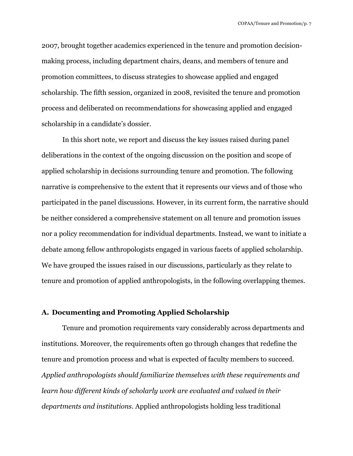2007, brought together academics experienced in the tenure and promotion decisionmaking process, including department chairs, deans, and members of tenure and promotion committees, to discuss strategies to showcase applied and engaged scholarship. The fifth session, organized in 2008, revisited the tenure and promotion process and deliberated on recommendations for showcasing applied and engaged scholarship in a candidate's dossier.

In this short note, we report and discuss the key issues raised during panel deliberations in the context of the ongoing discussion on the position and scope of applied scholarship in decisions surrounding tenure and promotion. The following narrative is comprehensive to the extent that it represents our views and of those who participated in the panel discussions. However, in its current form, the narrative should be neither considered a comprehensive statement on all tenure and promotion issues nor a policy recommendation for individual departments. Instead, we want to initiate a debate among fellow anthropologists engaged in various facets of applied scholarship. We have grouped the issues raised in our discussions, particularly as they relate to tenure and promotion of applied anthropologists, in the following overlapping themes.

## **A. Documenting and Promoting Applied Scholarship**

Tenure and promotion requirements vary considerably across departments and institutions. Moreover, the requirements often go through changes that redefine the tenure and promotion process and what is expected of faculty members to succeed. *Applied anthropologists should familiarize themselves with these requirements and learn how different kinds of scholarly work are evaluated and valued in their departments and institutions*. Applied anthropologists holding less traditional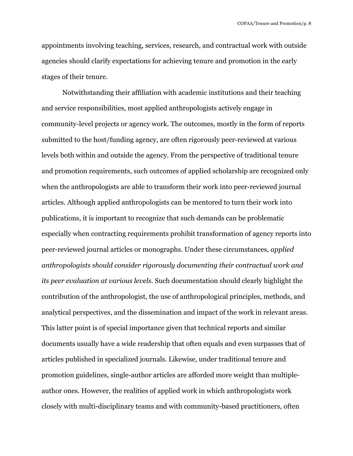appointments involving teaching, services, research, and contractual work with outside agencies should clarify expectations for achieving tenure and promotion in the early stages of their tenure.

Notwithstanding their affiliation with academic institutions and their teaching and service responsibilities, most applied anthropologists actively engage in community-level projects or agency work. The outcomes, mostly in the form of reports submitted to the host/funding agency, are often rigorously peer-reviewed at various levels both within and outside the agency. From the perspective of traditional tenure and promotion requirements, such outcomes of applied scholarship are recognized only when the anthropologists are able to transform their work into peer-reviewed journal articles. Although applied anthropologists can be mentored to turn their work into publications, it is important to recognize that such demands can be problematic especially when contracting requirements prohibit transformation of agency reports into peer-reviewed journal articles or monographs. Under these circumstances, *applied anthropologists should consider rigorously documenting their contractual work and its peer evaluation at various levels.* Such documentation should clearly highlight the contribution of the anthropologist, the use of anthropological principles, methods, and analytical perspectives, and the dissemination and impact of the work in relevant areas. This latter point is of special importance given that technical reports and similar documents usually have a wide readership that often equals and even surpasses that of articles published in specialized journals. Likewise, under traditional tenure and promotion guidelines, single-author articles are afforded more weight than multipleauthor ones. However, the realities of applied work in which anthropologists work closely with multi-disciplinary teams and with community-based practitioners, often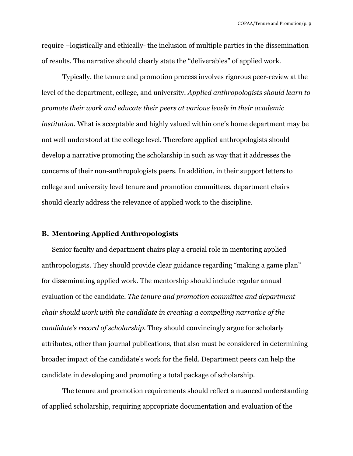require –logistically and ethically- the inclusion of multiple parties in the dissemination of results. The narrative should clearly state the "deliverables" of applied work.

Typically, the tenure and promotion process involves rigorous peer-review at the level of the department, college, and university. *Applied anthropologists should learn to promote their work and educate their peers at various levels in their academic institution.* What is acceptable and highly valued within one's home department may be not well understood at the college level. Therefore applied anthropologists should develop a narrative promoting the scholarship in such as way that it addresses the concerns of their non-anthropologists peers. In addition, in their support letters to college and university level tenure and promotion committees, department chairs should clearly address the relevance of applied work to the discipline.

#### **B. Mentoring Applied Anthropologists**

Senior faculty and department chairs play a crucial role in mentoring applied anthropologists. They should provide clear guidance regarding "making a game plan" for disseminating applied work. The mentorship should include regular annual evaluation of the candidate. *The tenure and promotion committee and department chair should work with the candidate in creating a compelling narrative of the candidate's record of scholarship.* They should convincingly argue for scholarly attributes, other than journal publications, that also must be considered in determining broader impact of the candidate's work for the field. Department peers can help the candidate in developing and promoting a total package of scholarship.

The tenure and promotion requirements should reflect a nuanced understanding of applied scholarship, requiring appropriate documentation and evaluation of the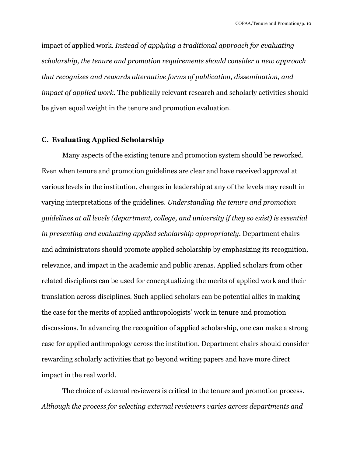impact of applied work. *Instead of applying a traditional approach for evaluating scholarship, the tenure and promotion requirements should consider a new approach that recognizes and rewards alternative forms of publication, dissemination, and impact of applied work.* The publically relevant research and scholarly activities should be given equal weight in the tenure and promotion evaluation.

### **C. Evaluating Applied Scholarship**

Many aspects of the existing tenure and promotion system should be reworked. Even when tenure and promotion guidelines are clear and have received approval at various levels in the institution, changes in leadership at any of the levels may result in varying interpretations of the guidelines. *Understanding the tenure and promotion guidelines at all levels (department, college, and university if they so exist) is essential in presenting and evaluating applied scholarship appropriately*. Department chairs and administrators should promote applied scholarship by emphasizing its recognition, relevance, and impact in the academic and public arenas. Applied scholars from other related disciplines can be used for conceptualizing the merits of applied work and their translation across disciplines. Such applied scholars can be potential allies in making the case for the merits of applied anthropologists' work in tenure and promotion discussions. In advancing the recognition of applied scholarship, one can make a strong case for applied anthropology across the institution. Department chairs should consider rewarding scholarly activities that go beyond writing papers and have more direct impact in the real world.

The choice of external reviewers is critical to the tenure and promotion process. *Although the process for selecting external reviewers varies across departments and*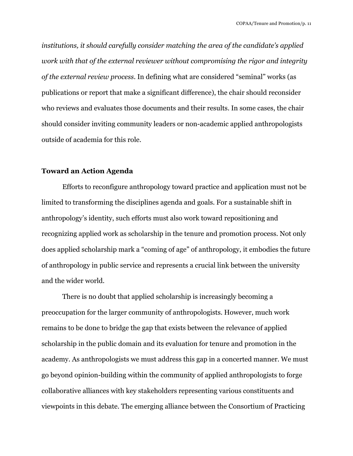*institutions, it should carefully consider matching the area of the candidate's applied work with that of the external reviewer without compromising the rigor and integrity of the external review process.* In defining what are considered "seminal" works (as publications or report that make a significant difference), the chair should reconsider who reviews and evaluates those documents and their results. In some cases, the chair should consider inviting community leaders or non-academic applied anthropologists outside of academia for this role.

### **Toward an Action Agenda**

Efforts to reconfigure anthropology toward practice and application must not be limited to transforming the disciplines agenda and goals. For a sustainable shift in anthropology's identity, such efforts must also work toward repositioning and recognizing applied work as scholarship in the tenure and promotion process. Not only does applied scholarship mark a "coming of age" of anthropology, it embodies the future of anthropology in public service and represents a crucial link between the university and the wider world.

There is no doubt that applied scholarship is increasingly becoming a preoccupation for the larger community of anthropologists. However, much work remains to be done to bridge the gap that exists between the relevance of applied scholarship in the public domain and its evaluation for tenure and promotion in the academy. As anthropologists we must address this gap in a concerted manner. We must go beyond opinion-building within the community of applied anthropologists to forge collaborative alliances with key stakeholders representing various constituents and viewpoints in this debate. The emerging alliance between the Consortium of Practicing